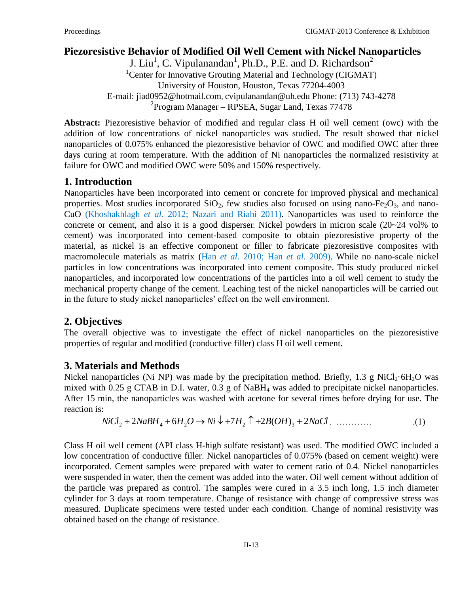# **Piezoresistive Behavior of Modified Oil Well Cement with Nickel Nanoparticles**

J. Liu<sup>1</sup>, C. Vipulanandan<sup>1</sup>, Ph.D., P.E. and D. Richardson<sup>2</sup> <sup>1</sup>Center for Innovative Grouting Material and Technology (CIGMAT) University of Houston, Houston, Texas 77204-4003 E-mail: [jiad0952@hotmail.com](mailto:jiad0952@hotmail.com), cvipulanandan@uh.edu Phone: (713) 743-4278 <sup>2</sup> Program Manager – RPSEA, Sugar Land, Texas 77478

**Abstract:** Piezoresistive behavior of modified and regular class H oil well cement (owc) with the addition of low concentrations of nickel nanoparticles was studied. The result showed that nickel nanoparticles of 0.075% enhanced the piezoresistive behavior of OWC and modified OWC after three days curing at room temperature. With the addition of Ni nanoparticles the normalized resistivity at failure for OWC and modified OWC were 50% and 150% respectively.

#### **1. Introduction**

Nanoparticles have been incorporated into cement or concrete for improved physical and mechanical properties. Most studies incorporated  $SiO<sub>2</sub>$ , few studies also focused on using nano-Fe<sub>2</sub>O<sub>3</sub>, and nano-CuO (Khoshakhlagh *et al*. 2012; Nazari and Riahi 2011). Nanoparticles was used to reinforce the concrete or cement, and also it is a good disperser. Nickel powders in micron scale (20~24 vol% to cement) was incorporated into cement-based composite to obtain piezoresistive property of the material, as nickel is an effective component or filler to fabricate piezoresistive composites with macromolecule materials as matrix (Han *et al*. 2010; Han *et al*. 2009). While no nano-scale nickel particles in low concentrations was incorporated into cement composite. This study produced nickel nanoparticles, and incorporated low concentrations of the particles into a oil well cement to study the mechanical property change of the cement. Leaching test of the nickel nanoparticles will be carried out in the future to study nickel nanoparticles' effect on the well environment.

### **2. Objectives**

The overall objective was to investigate the effect of nickel nanoparticles on the piezoresistive properties of regular and modified (conductive filler) class H oil well cement.

### **3. Materials and Methods**

Nickel nanoparticles (Ni NP) was made by the precipitation method. Briefly, 1.3 g NiCl<sub>2</sub>·6H<sub>2</sub>O was mixed with 0.25 g CTAB in D.I. water, 0.3 g of NaBH<sup>4</sup> was added to precipitate nickel nanoparticles. After 15 min, the nanoparticles was washed with acetone for several times before drying for use. The reaction is:

$$
NiCl_2 + 2NaBH_4 + 6H_2O \to Ni \downarrow + 7H_2 \uparrow + 2B(OH)_3 + 2NaCl. \quad \dots \dots \dots \tag{1}
$$

Class H oil well cement (API class H-high sulfate resistant) was used. The modified OWC included a low concentration of conductive filler. Nickel nanoparticles of 0.075% (based on cement weight) were incorporated. Cement samples were prepared with water to cement ratio of 0.4. Nickel nanoparticles were suspended in water, then the cement was added into the water. Oil well cement without addition of the particle was prepared as control. The samples were cured in a 3.5 inch long, 1.5 inch diameter cylinder for 3 days at room temperature. Change of resistance with change of compressive stress was measured. Duplicate specimens were tested under each condition. Change of nominal resistivity was obtained based on the change of resistance.